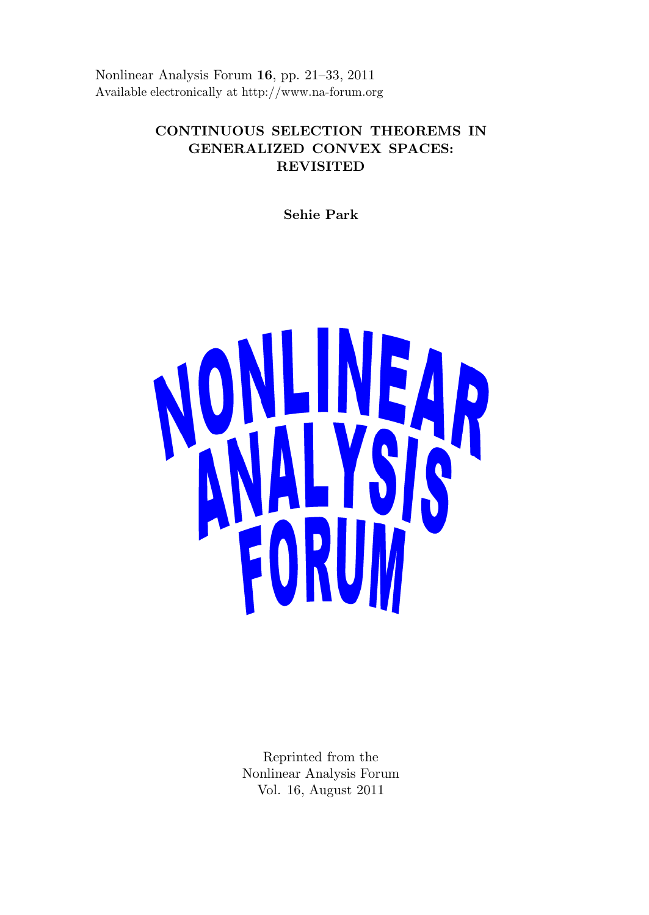Nonlinear Analysis Forum 16, pp. 21–33, 2011 Available electronically at http://www.na-forum.org

# CONTINUOUS SELECTION THEOREMS IN GENERALIZED CONVEX SPACES: REVISITED

Sehie Park



Reprinted from the Nonlinear Analysis Forum Vol. 16, August 2011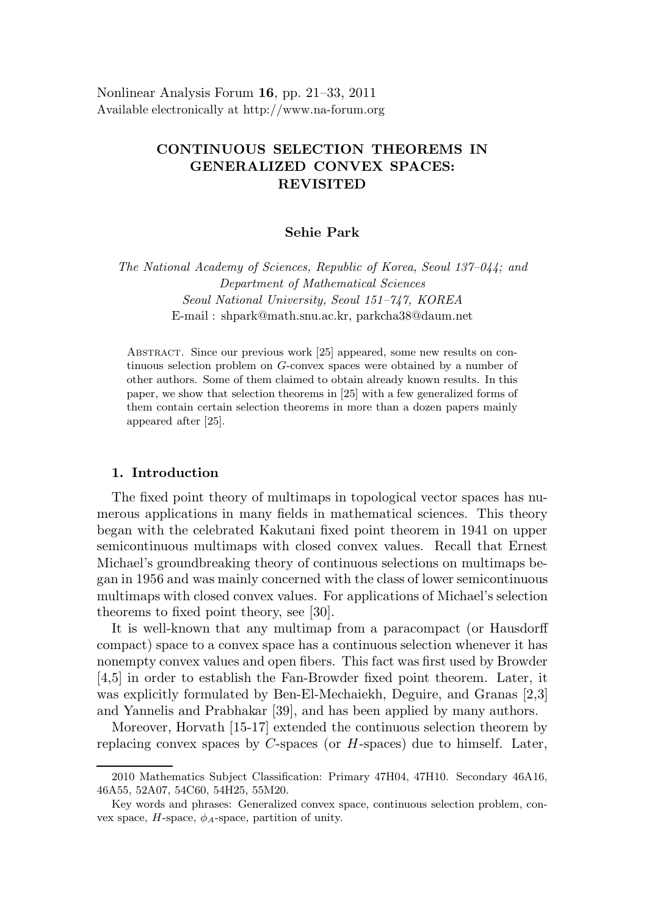Nonlinear Analysis Forum 16, pp. 21–33, 2011 Available electronically at http://www.na-forum.org

# CONTINUOUS SELECTION THEOREMS IN GENERALIZED CONVEX SPACES: REVISITED

### Sehie Park

The National Academy of Sciences, Republic of Korea, Seoul 137–044; and Department of Mathematical Sciences Seoul National University, Seoul 151–747, KOREA E-mail : shpark@math.snu.ac.kr, parkcha38@daum.net

Abstract. Since our previous work [25] appeared, some new results on continuous selection problem on G-convex spaces were obtained by a number of other authors. Some of them claimed to obtain already known results. In this paper, we show that selection theorems in [25] with a few generalized forms of them contain certain selection theorems in more than a dozen papers mainly appeared after [25].

#### 1. Introduction

The fixed point theory of multimaps in topological vector spaces has numerous applications in many fields in mathematical sciences. This theory began with the celebrated Kakutani fixed point theorem in 1941 on upper semicontinuous multimaps with closed convex values. Recall that Ernest Michael's groundbreaking theory of continuous selections on multimaps began in 1956 and was mainly concerned with the class of lower semicontinuous multimaps with closed convex values. For applications of Michael's selection theorems to fixed point theory, see [30].

It is well-known that any multimap from a paracompact (or Hausdorff compact) space to a convex space has a continuous selection whenever it has nonempty convex values and open fibers. This fact was first used by Browder [4,5] in order to establish the Fan-Browder fixed point theorem. Later, it was explicitly formulated by Ben-El-Mechaiekh, Deguire, and Granas [2,3] and Yannelis and Prabhakar [39], and has been applied by many authors.

Moreover, Horvath [15-17] extended the continuous selection theorem by replacing convex spaces by  $C$ -spaces (or  $H$ -spaces) due to himself. Later,

<sup>2010</sup> Mathematics Subject Classification: Primary 47H04, 47H10. Secondary 46A16, 46A55, 52A07, 54C60, 54H25, 55M20.

Key words and phrases: Generalized convex space, continuous selection problem, convex space,  $H$ -space,  $\phi_A$ -space, partition of unity.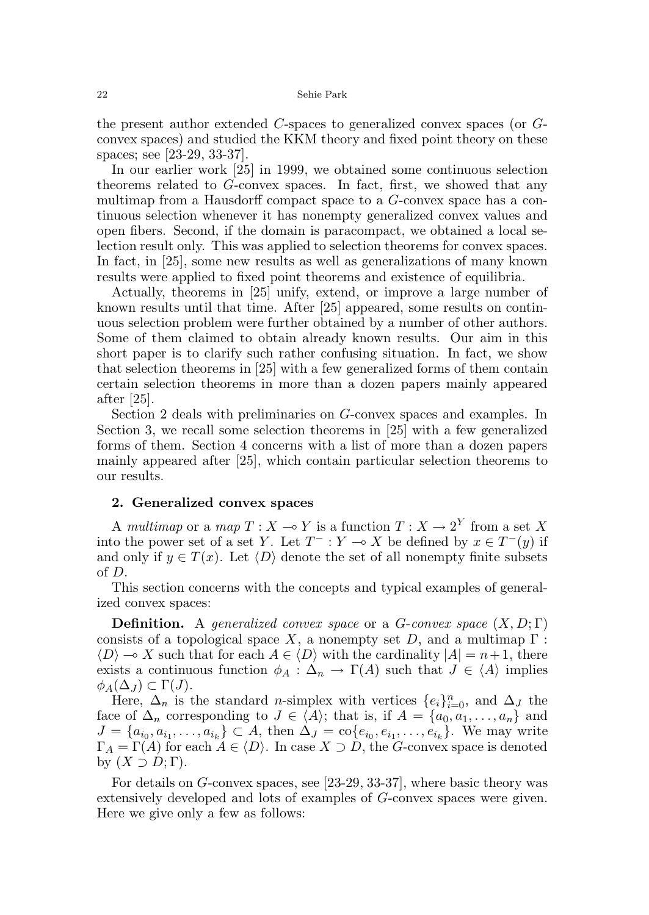the present author extended C-spaces to generalized convex spaces (or Gconvex spaces) and studied the KKM theory and fixed point theory on these spaces; see [23-29, 33-37].

In our earlier work [25] in 1999, we obtained some continuous selection theorems related to G-convex spaces. In fact, first, we showed that any multimap from a Hausdorff compact space to a G-convex space has a continuous selection whenever it has nonempty generalized convex values and open fibers. Second, if the domain is paracompact, we obtained a local selection result only. This was applied to selection theorems for convex spaces. In fact, in [25], some new results as well as generalizations of many known results were applied to fixed point theorems and existence of equilibria.

Actually, theorems in [25] unify, extend, or improve a large number of known results until that time. After [25] appeared, some results on continuous selection problem were further obtained by a number of other authors. Some of them claimed to obtain already known results. Our aim in this short paper is to clarify such rather confusing situation. In fact, we show that selection theorems in [25] with a few generalized forms of them contain certain selection theorems in more than a dozen papers mainly appeared after [25].

Section 2 deals with preliminaries on G-convex spaces and examples. In Section 3, we recall some selection theorems in [25] with a few generalized forms of them. Section 4 concerns with a list of more than a dozen papers mainly appeared after [25], which contain particular selection theorems to our results.

#### 2. Generalized convex spaces

A multimap or a map  $T : X \to Y$  is a function  $T : X \to 2^Y$  from a set X into the power set of a set Y. Let  $T^- : Y \to X$  be defined by  $x \in T^-(y)$  if and only if  $y \in T(x)$ . Let  $\langle D \rangle$  denote the set of all nonempty finite subsets of D.

This section concerns with the concepts and typical examples of generalized convex spaces:

**Definition.** A generalized convex space or a G-convex space  $(X, D; \Gamma)$ consists of a topological space X, a nonempty set D, and a multimap  $\Gamma$ :  $\langle D \rangle \to X$  such that for each  $A \in \langle D \rangle$  with the cardinality  $|A| = n + 1$ , there exists a continuous function  $\phi_A : \Delta_n \to \Gamma(A)$  such that  $J \in \langle A \rangle$  implies  $\phi_A(\Delta_J) \subset \Gamma(J).$ 

Here,  $\Delta_n$  is the standard *n*-simplex with vertices  $\{e_i\}_{i=0}^n$ , and  $\Delta_j$  the face of  $\Delta_n$  corresponding to  $J \in \langle A \rangle$ ; that is, if  $A = \{a_0, a_1, \ldots, a_n\}$  and  $J = \{a_{i_0}, a_{i_1}, \ldots, a_{i_k}\} \subset A$ , then  $\Delta_J = \text{co}\{e_{i_0}, e_{i_1}, \ldots, e_{i_k}\}$ . We may write  $\Gamma_A = \Gamma(A)$  for each  $A \in \langle D \rangle$ . In case  $X \supset D$ , the G-convex space is denoted by  $(X \supset D; \Gamma)$ .

For details on G-convex spaces, see [23-29, 33-37], where basic theory was extensively developed and lots of examples of G-convex spaces were given. Here we give only a few as follows: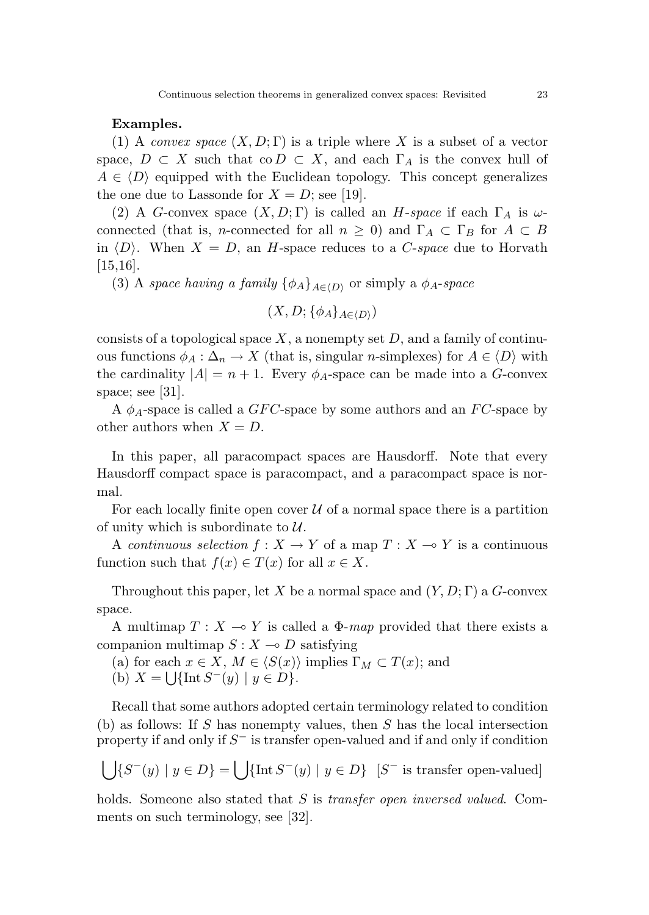#### Examples.

(1) A convex space  $(X, D; \Gamma)$  is a triple where X is a subset of a vector space,  $D \subset X$  such that  $\text{co } D \subset X$ , and each  $\Gamma_A$  is the convex hull of  $A \in \langle D \rangle$  equipped with the Euclidean topology. This concept generalizes the one due to Lassonde for  $X = D$ ; see [19].

(2) A G-convex space  $(X, D; \Gamma)$  is called an H-space if each  $\Gamma_A$  is  $\omega$ connected (that is, *n*-connected for all  $n \geq 0$ ) and  $\Gamma_A \subset \Gamma_B$  for  $A \subset B$ in  $\langle D \rangle$ . When  $X = D$ , an H-space reduces to a C-space due to Horvath [15,16].

(3) A space having a family  $\{\phi_A\}_{A\in\langle D\rangle}$  or simply a  $\phi_A$ -space

$$
(X,D;\{\phi_A\}_{A\in\langle D\rangle})
$$

consists of a topological space  $X$ , a nonempty set  $D$ , and a family of continuous functions  $\phi_A : \Delta_n \to X$  (that is, singular *n*-simplexes) for  $A \in \langle D \rangle$  with the cardinality  $|A| = n + 1$ . Every  $\phi_A$ -space can be made into a G-convex space; see [31].

A  $\phi_A$ -space is called a GFC-space by some authors and an FC-space by other authors when  $X = D$ .

In this paper, all paracompact spaces are Hausdorff. Note that every Hausdorff compact space is paracompact, and a paracompact space is normal.

For each locally finite open cover  $U$  of a normal space there is a partition of unity which is subordinate to  $\mathcal{U}$ .

A continuous selection  $f : X \to Y$  of a map  $T : X \to Y$  is a continuous function such that  $f(x) \in T(x)$  for all  $x \in X$ .

Throughout this paper, let X be a normal space and  $(Y, D; \Gamma)$  a G-convex space.

A multimap  $T : X \longrightarrow Y$  is called a  $\Phi$ -map provided that there exists a companion multimap  $S: X \to D$  satisfying

(a) for each  $x \in X$ ,  $M \in \langle S(x) \rangle$  implies  $\Gamma_M \subset T(x)$ ; and

(b)  $X = \bigcup \{ \text{Int } S^-(y) \mid y \in D \}.$ 

Recall that some authors adopted certain terminology related to condition (b) as follows: If S has nonempty values, then S has the local intersection property if and only if  $S^-$  is transfer open-valued and if and only if condition

$$
\bigcup \{ S^-(y) \mid y \in D \} = \bigcup \{ \text{Int } S^-(y) \mid y \in D \} \ [S^- \text{ is transfer open-valued}]
$$

holds. Someone also stated that S is *transfer open inversed valued*. Comments on such terminology, see [32].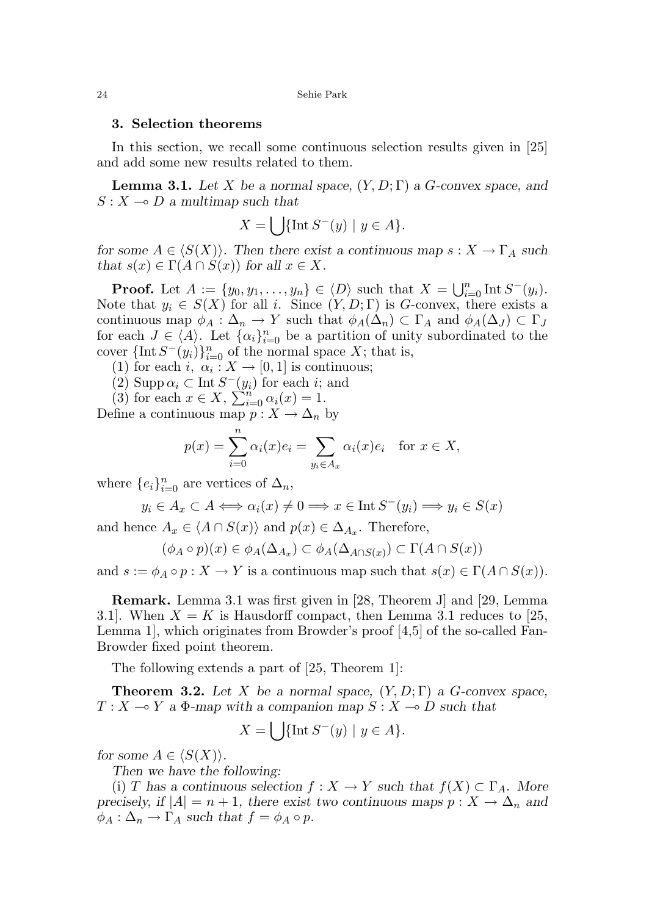#### 3. Selection theorems

In this section, we recall some continuous selection results given in [25] and add some new results related to them.

**Lemma 3.1.** Let X be a normal space,  $(Y, D; \Gamma)$  a G-convex space, and  $S: X \longrightarrow D$  a multimap such that

$$
X = \bigcup \{ \text{Int } S^-(y) \mid y \in A \}.
$$

for some  $A \in \langle S(X) \rangle$ . Then there exist a continuous map  $s : X \to \Gamma_A$  such that  $s(x) \in \Gamma(A \cap S(x))$  for all  $x \in X$ .

**Proof.** Let  $A := \{y_0, y_1, \ldots, y_n\} \in \langle D \rangle$  such that  $X = \bigcup_{i=0}^n \text{Int } S^-(y_i)$ . Note that  $y_i \in S(X)$  for all i. Since  $(Y, D; \Gamma)$  is G-convex, there exists a continuous map  $\phi_A : \Delta_n \to Y$  such that  $\phi_A(\Delta_n) \subset \Gamma_A$  and  $\phi_A(\Delta_j) \subset \Gamma_J$ for each  $J \in \langle A \rangle$ . Let  $\{\alpha_i\}_{i=0}^n$  be a partition of unity subordinated to the cover  $\{\text{Int } S^-(y_i)\}_{i=0}^n$  of the normal space X; that is,

- (1) for each  $i, \alpha_i : X \to [0,1]$  is continuous;
- (2) Supp  $\alpha_i \subset \text{Int } S^-(y_i)$  for each *i*; and

(3) for each  $x \in X$ ,  $\sum_{i=0}^{n} \alpha_i(x) = 1$ .

Define a continuous map  $p: X \to \Delta_n$  by

$$
p(x) = \sum_{i=0}^{n} \alpha_i(x)e_i = \sum_{y_i \in A_x} \alpha_i(x)e_i \text{ for } x \in X,
$$

where  $\{e_i\}_{i=0}^n$  are vertices of  $\Delta_n$ ,

$$
y_i \in A_x \subset A \Longleftrightarrow \alpha_i(x) \neq 0 \Longrightarrow x \in \text{Int } S^-(y_i) \Longrightarrow y_i \in S(x)
$$

and hence  $A_x \in \langle A \cap S(x) \rangle$  and  $p(x) \in \Delta_{A_x}$ . Therefore,

$$
(\phi_A \circ p)(x) \in \phi_A(\Delta_{A_x}) \subset \phi_A(\Delta_{A \cap S(x)}) \subset \Gamma(A \cap S(x))
$$

and  $s := \phi_A \circ p : X \to Y$  is a continuous map such that  $s(x) \in \Gamma(A \cap S(x))$ .

Remark. Lemma 3.1 was first given in [28, Theorem J] and [29, Lemma 3.1. When  $X = K$  is Hausdorff compact, then Lemma 3.1 reduces to [25, Lemma 1], which originates from Browder's proof [4,5] of the so-called Fan-Browder fixed point theorem.

The following extends a part of [25, Theorem 1]:

**Theorem 3.2.** Let X be a normal space,  $(Y, D; \Gamma)$  a G-convex space,  $T : X \longrightarrow Y$  a  $\Phi$ -map with a companion map  $S : X \longrightarrow D$  such that

$$
X = \bigcup \{ \text{Int } S^-(y) \mid y \in A \}.
$$

for some  $A \in \langle S(X) \rangle$ .

Then we have the following:

(i) T has a continuous selection  $f: X \to Y$  such that  $f(X) \subset \Gamma_A$ . More precisely, if  $|A| = n + 1$ , there exist two continuous maps  $p : X \to \Delta_n$  and  $\phi_A : \Delta_n \to \Gamma_A$  such that  $f = \phi_A \circ p$ .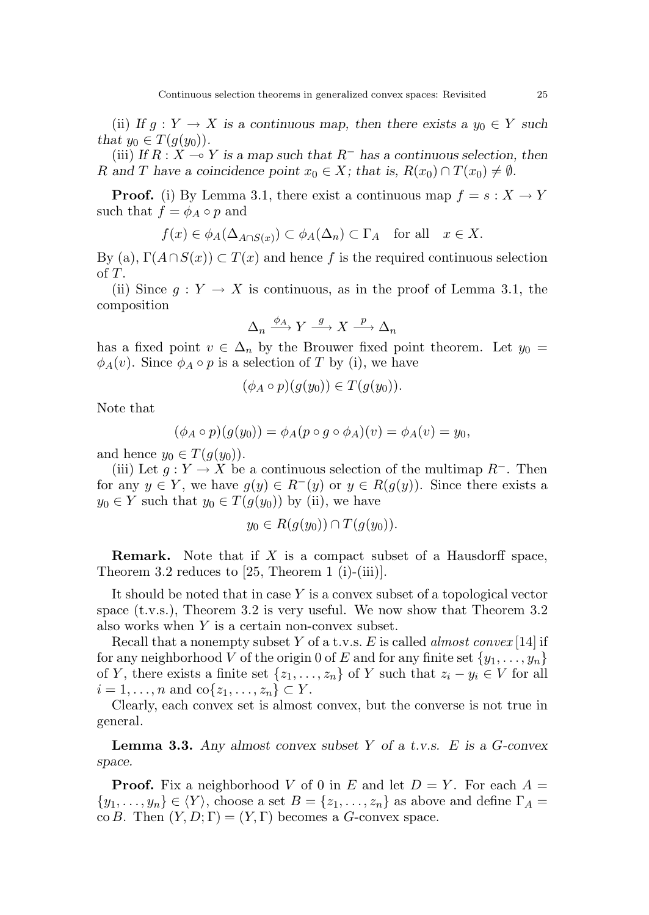(ii) If  $g: Y \to X$  is a continuous map, then there exists a  $y_0 \in Y$  such that  $y_0 \in T(g(y_0))$ .

(iii) If  $R : X \to Y$  is a map such that  $R^-$  has a continuous selection, then R and T have a coincidence point  $x_0 \in X$ ; that is,  $R(x_0) \cap T(x_0) \neq \emptyset$ .

**Proof.** (i) By Lemma 3.1, there exist a continuous map  $f = s : X \to Y$ such that  $f = \phi_A \circ p$  and

$$
f(x) \in \phi_A(\Delta_{A \cap S(x)}) \subset \phi_A(\Delta_n) \subset \Gamma_A \quad \text{for all} \quad x \in X.
$$

By (a),  $\Gamma(A \cap S(x)) \subset T(x)$  and hence f is the required continuous selection of T.

(ii) Since  $q: Y \to X$  is continuous, as in the proof of Lemma 3.1, the composition

$$
\Delta_n \xrightarrow{\phi_A} Y \xrightarrow{g} X \xrightarrow{p} \Delta_n
$$

has a fixed point  $v \in \Delta_n$  by the Brouwer fixed point theorem. Let  $y_0 =$  $\phi_A(v)$ . Since  $\phi_A \circ p$  is a selection of T by (i), we have

$$
(\phi_A \circ p)(g(y_0)) \in T(g(y_0)).
$$

Note that

$$
(\phi_A \circ p)(g(y_0)) = \phi_A(p \circ g \circ \phi_A)(v) = \phi_A(v) = y_0,
$$

and hence  $y_0 \in T(g(y_0))$ .

(iii) Let  $g: Y \to X$  be a continuous selection of the multimap  $R^-$ . Then for any  $y \in Y$ , we have  $g(y) \in R^-(y)$  or  $y \in R(g(y))$ . Since there exists a  $y_0 \in Y$  such that  $y_0 \in T(g(y_0))$  by (ii), we have

$$
y_0 \in R(g(y_0)) \cap T(g(y_0)).
$$

**Remark.** Note that if X is a compact subset of a Hausdorff space, Theorem 3.2 reduces to  $[25,$  Theorem 1 (i)-(iii)].

It should be noted that in case  $Y$  is a convex subset of a topological vector space (t.v.s.), Theorem 3.2 is very useful. We now show that Theorem 3.2 also works when  $Y$  is a certain non-convex subset.

Recall that a nonempty subset Y of a t.v.s. E is called *almost convex* [14] if for any neighborhood V of the origin 0 of E and for any finite set  $\{y_1, \ldots, y_n\}$ of Y, there exists a finite set  $\{z_1, \ldots, z_n\}$  of Y such that  $z_i - y_i \in V$  for all  $i = 1, \ldots, n$  and  $\text{co}\{z_1, \ldots, z_n\} \subset Y$ .

Clearly, each convex set is almost convex, but the converse is not true in general.

**Lemma 3.3.** Any almost convex subset Y of a t.v.s. E is a  $G$ -convex space.

**Proof.** Fix a neighborhood V of 0 in E and let  $D = Y$ . For each  $A =$  $\{y_1, \ldots, y_n\} \in \langle Y \rangle$ , choose a set  $B = \{z_1, \ldots, z_n\}$  as above and define  $\Gamma_A =$ co B. Then  $(Y, D; \Gamma) = (Y, \Gamma)$  becomes a G-convex space.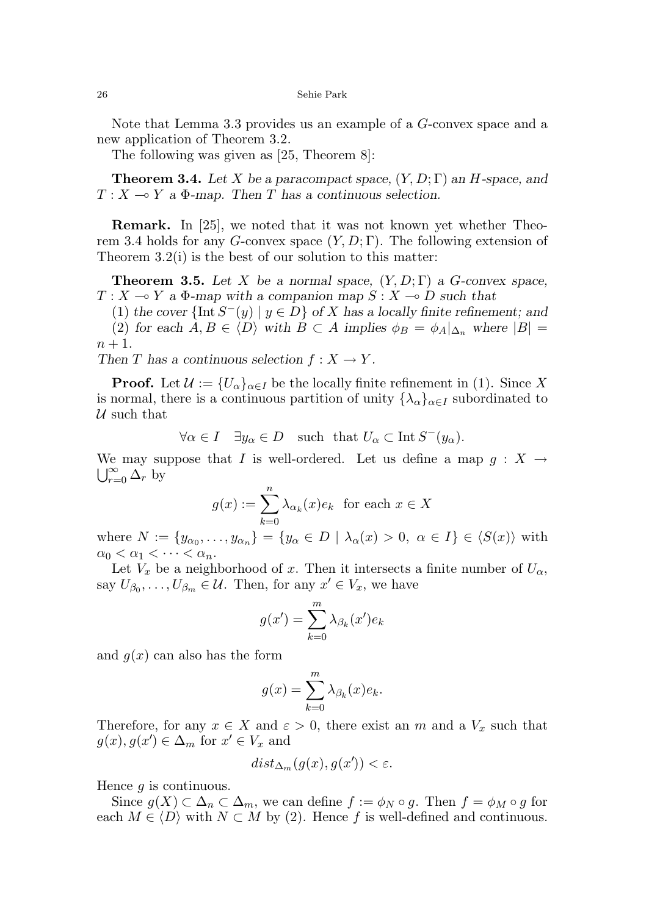Note that Lemma 3.3 provides us an example of a G-convex space and a new application of Theorem 3.2.

The following was given as [25, Theorem 8]:

**Theorem 3.4.** Let X be a paracompact space,  $(Y, D; \Gamma)$  an H-space, and  $T : X \longrightarrow Y$  a  $\Phi$ -map. Then T has a continuous selection.

Remark. In [25], we noted that it was not known yet whether Theorem 3.4 holds for any G-convex space  $(Y, D; \Gamma)$ . The following extension of Theorem 3.2(i) is the best of our solution to this matter:

**Theorem 3.5.** Let X be a normal space,  $(Y, D; \Gamma)$  a G-convex space,  $T : X \longrightarrow Y$  a  $\Phi$ -map with a companion map  $S : X \longrightarrow D$  such that

(1) the cover  $\{\text{Int } S^{-}(y) \mid y \in D\}$  of X has a locally finite refinement; and (2) for each  $A, B \in \langle D \rangle$  with  $B \subset A$  implies  $\phi_B = \phi_A|_{\Delta_n}$  where  $|B| =$  $n+1$ .

Then T has a continuous selection  $f: X \to Y$ .

**Proof.** Let  $\mathcal{U} := \{U_{\alpha}\}_{{\alpha \in I}}\}$  be the locally finite refinement in (1). Since X is normal, there is a continuous partition of unity  $\{\lambda_{\alpha}\}_{{\alpha}\in I}$  subordinated to  $U$  such that

$$
\forall \alpha \in I \quad \exists y_{\alpha} \in D \quad \text{such that } U_{\alpha} \subset \text{Int } S^-(y_{\alpha}).
$$

We may suppose that I is well-ordered. Let us define a map  $g: X \to \mathbb{R}^{\infty}$  $\bigcup_{r=0}^{\infty} \Delta_r$  by

$$
g(x) := \sum_{k=0}^{n} \lambda_{\alpha_k}(x) e_k \text{ for each } x \in X
$$

where  $N := \{y_{\alpha_0}, \ldots, y_{\alpha_n}\} = \{y_\alpha \in D \mid \lambda_\alpha(x) > 0, \alpha \in I\} \in \langle S(x) \rangle$  with  $\alpha_0 < \alpha_1 < \cdots < \alpha_n$ .

Let  $V_x$  be a neighborhood of x. Then it intersects a finite number of  $U_\alpha$ , say  $U_{\beta_0}, \ldots, U_{\beta_m} \in \mathcal{U}$ . Then, for any  $x' \in V_x$ , we have

$$
g(x') = \sum_{k=0}^{m} \lambda_{\beta_k}(x') e_k
$$

and  $g(x)$  can also has the form

$$
g(x) = \sum_{k=0}^{m} \lambda_{\beta_k}(x) e_k.
$$

Therefore, for any  $x \in X$  and  $\varepsilon > 0$ , there exist an m and a  $V_x$  such that  $g(x), g(x') \in \Delta_m$  for  $x' \in V_x$  and

$$
dist_{\Delta_m}(g(x), g(x')) < \varepsilon.
$$

Hence  $q$  is continuous.

Since  $g(X) \subset \Delta_n \subset \Delta_m$ , we can define  $f := \phi_N \circ g$ . Then  $f = \phi_M \circ g$  for each  $M \in \langle D \rangle$  with  $N \subset M$  by (2). Hence f is well-defined and continuous.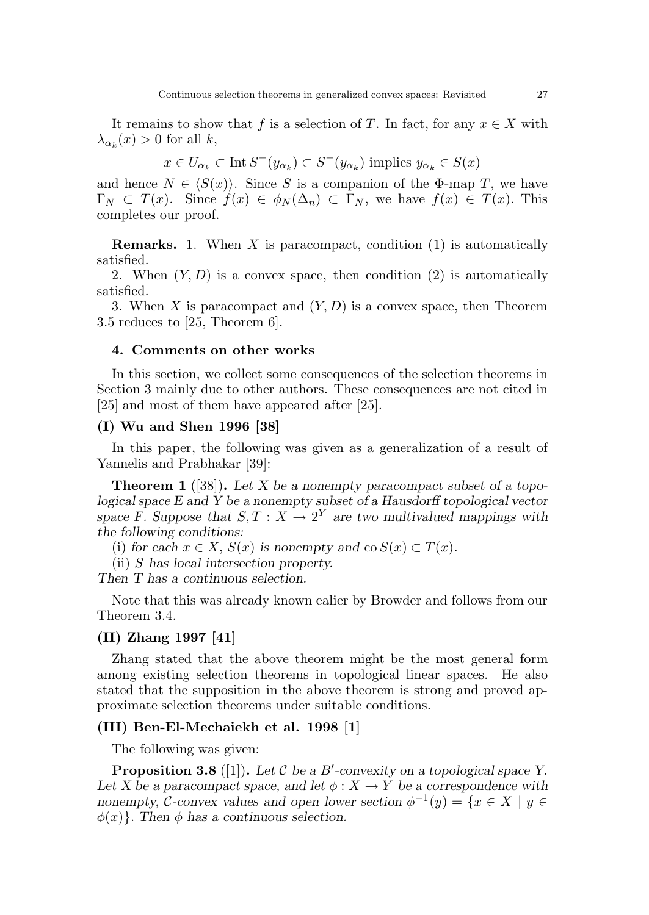It remains to show that f is a selection of T. In fact, for any  $x \in X$  with  $\lambda_{\alpha_k}(x) > 0$  for all k,

$$
x\in U_{\alpha_k}\subset\operatorname{Int}S^-(y_{\alpha_k})\subset S^-(y_{\alpha_k})\text{ implies }y_{\alpha_k}\in S(x)
$$

and hence  $N \in \langle S(x) \rangle$ . Since S is a companion of the Φ-map T, we have  $\Gamma_N \subset T(x)$ . Since  $f(x) \in \phi_N(\Delta_n) \subset \Gamma_N$ , we have  $f(x) \in T(x)$ . This completes our proof.

**Remarks.** 1. When  $X$  is paracompact, condition  $(1)$  is automatically satisfied.

2. When  $(Y, D)$  is a convex space, then condition  $(2)$  is automatically satisfied.

3. When X is paracompact and  $(Y, D)$  is a convex space, then Theorem 3.5 reduces to [25, Theorem 6].

### 4. Comments on other works

In this section, we collect some consequences of the selection theorems in Section 3 mainly due to other authors. These consequences are not cited in [25] and most of them have appeared after [25].

# (I) Wu and Shen 1996 [38]

In this paper, the following was given as a generalization of a result of Yannelis and Prabhakar [39]:

**Theorem 1** ([38]). Let X be a nonempty paracompact subset of a topological space E and Y be a nonempty subset of a Hausdorff topological vector space F. Suppose that  $S, T : X \to 2^Y$  are two multivalued mappings with the following conditions:

(i) for each  $x \in X$ ,  $S(x)$  is nonempty and co  $S(x) \subset T(x)$ .

(ii) S has local intersection property.

Then T has a continuous selection.

Note that this was already known ealier by Browder and follows from our Theorem 3.4.

#### (II) Zhang 1997 [41]

Zhang stated that the above theorem might be the most general form among existing selection theorems in topological linear spaces. He also stated that the supposition in the above theorem is strong and proved approximate selection theorems under suitable conditions.

## (III) Ben-El-Mechaiekh et al. 1998 [1]

The following was given:

**Proposition 3.8** ([1]). Let  $C$  be a  $B'$ -convexity on a topological space Y. Let X be a paracompact space, and let  $\phi: X \to Y$  be a correspondence with nonempty, C-convex values and open lower section  $\phi^{-1}(y) = \{x \in X \mid y \in$  $\phi(x)$ . Then  $\phi$  has a continuous selection.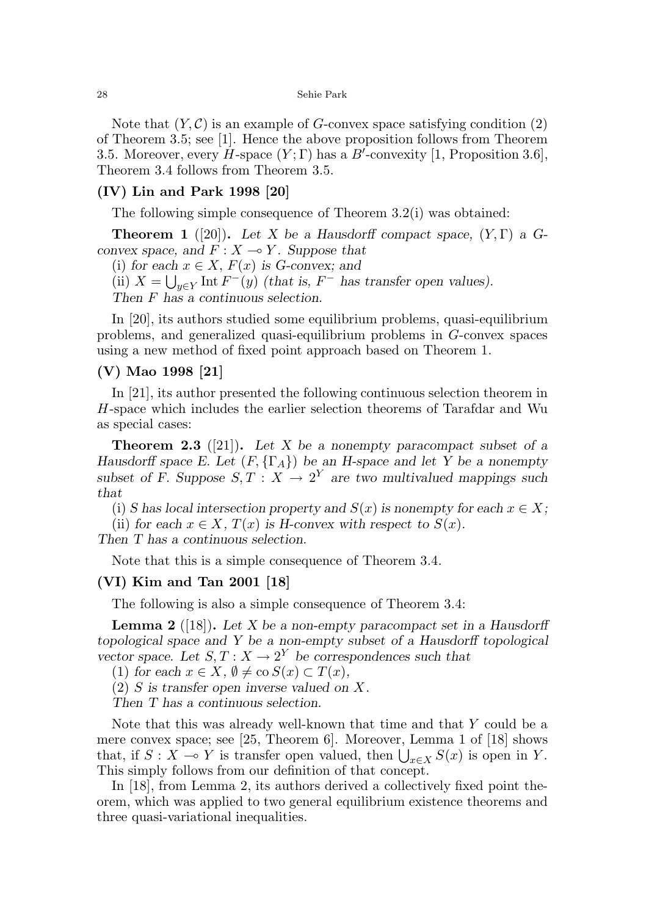Note that  $(Y, \mathcal{C})$  is an example of G-convex space satisfying condition  $(2)$ of Theorem 3.5; see [1]. Hence the above proposition follows from Theorem 3.5. Moreover, every  $H$ -space  $(Y; \Gamma)$  has a  $B'$ -convexity  $[1,$  Proposition 3.6], Theorem 3.4 follows from Theorem 3.5.

### (IV) Lin and Park 1998 [20]

The following simple consequence of Theorem 3.2(i) was obtained:

**Theorem 1** ([20]). Let X be a Hausdorff compact space,  $(Y, \Gamma)$  a Gconvex space, and  $F: X \rightarrow Y$ . Suppose that

(i) for each  $x \in X$ ,  $F(x)$  is G-convex; and

(ii)  $X = \bigcup_{y \in Y} \text{Int } F^-(y)$  (that is,  $F^-$  has transfer open values).

Then F has a continuous selection.

In [20], its authors studied some equilibrium problems, quasi-equilibrium problems, and generalized quasi-equilibrium problems in G-convex spaces using a new method of fixed point approach based on Theorem 1.

#### (V) Mao 1998 [21]

In [21], its author presented the following continuous selection theorem in H-space which includes the earlier selection theorems of Tarafdar and Wu as special cases:

**Theorem 2.3** ([21]). Let X be a nonempty paracompact subset of a Hausdorff space E. Let  $(F, \{\Gamma_A\})$  be an H-space and let Y be a nonempty subset of F. Suppose  $S, T : X \to 2^Y$  are two multivalued mappings such that

(i) S has local intersection property and  $S(x)$  is nonempty for each  $x \in X$ ;

(ii) for each  $x \in X$ ,  $T(x)$  is H-convex with respect to  $S(x)$ .

Then T has a continuous selection.

Note that this is a simple consequence of Theorem 3.4.

#### (VI) Kim and Tan 2001 [18]

The following is also a simple consequence of Theorem 3.4:

**Lemma 2** ([18]). Let  $X$  be a non-empty paracompact set in a Hausdorff topological space and Y be a non-empty subset of a Hausdorff topological vector space. Let  $S, T : X \to 2^Y$  be correspondences such that

(1) for each  $x \in X$ ,  $\emptyset \neq$  co  $S(x) \subset T(x)$ ,

 $(2)$  S is transfer open inverse valued on X.

Then T has a continuous selection.

Note that this was already well-known that time and that Y could be a mere convex space; see [25, Theorem 6]. Moreover, Lemma 1 of [18] shows that, if  $S: X \to Y$  is transfer open valued, then  $\bigcup_{x \in X} S(x)$  is open in Y. This simply follows from our definition of that concept.

In [18], from Lemma 2, its authors derived a collectively fixed point theorem, which was applied to two general equilibrium existence theorems and three quasi-variational inequalities.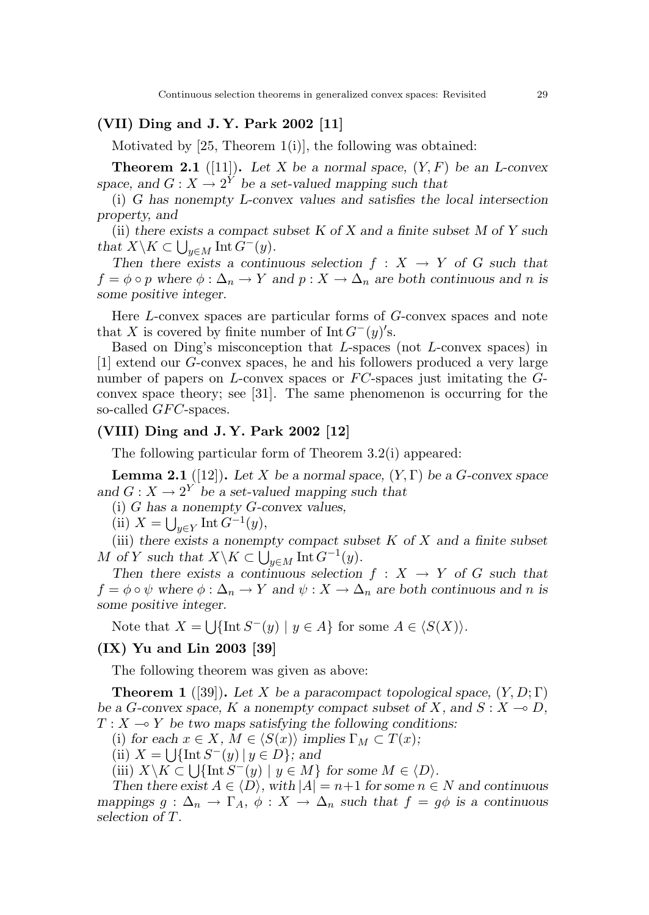# (VII) Ding and J. Y. Park 2002 [11]

Motivated by  $[25,$  Theorem  $1(i)$ , the following was obtained:

**Theorem 2.1** ([11]). Let X be a normal space,  $(Y, F)$  be an L-convex space, and  $G: X \to 2^Y$  be a set-valued mapping such that

(i) G has nonempty L-convex values and satisfies the local intersection property, and

(ii) there exists a compact subset K of X and a finite subset M of Y such that  $X \backslash K \subset \bigcup_{y \in M} \text{Int } G^-(y)$ .

Then there exists a continuous selection  $f : X \to Y$  of G such that  $f = \phi \circ p$  where  $\phi : \Delta_n \to Y$  and  $p : X \to \Delta_n$  are both continuous and n is some positive integer.

Here L-convex spaces are particular forms of G-convex spaces and note that X is covered by finite number of Int  $G^-(y)'$ s.

Based on Ding's misconception that L-spaces (not L-convex spaces) in [1] extend our G-convex spaces, he and his followers produced a very large number of papers on  $L$ -convex spaces or  $FC$ -spaces just imitating the  $G$ convex space theory; see [31]. The same phenomenon is occurring for the so-called *GFC*-spaces.

# (VIII) Ding and J. Y. Park 2002 [12]

The following particular form of Theorem 3.2(i) appeared:

**Lemma 2.1** ([12]). Let X be a normal space,  $(Y, \Gamma)$  be a G-convex space and  $G: X \to 2^Y$  be a set-valued mapping such that

(i) G has a nonempty G-convex values,

(ii)  $X = \bigcup_{y \in Y} \text{Int } G^{-1}(y),$ 

(iii) there exists a nonempty compact subset  $K$  of  $X$  and a finite subset M of Y such that  $X \backslash K \subset \bigcup_{y \in M} \text{Int } G^{-1}(y)$ .

Then there exists a continuous selection  $f : X \to Y$  of G such that  $f = \phi \circ \psi$  where  $\phi : \Delta_n \to Y$  and  $\psi : X \to \Delta_n$  are both continuous and n is some positive integer.

Note that  $X = \bigcup \{ \text{Int } S^-(y) \mid y \in A \}$  for some  $A \in \langle S(X) \rangle$ .

# (IX) Yu and Lin 2003 [39]

The following theorem was given as above:

**Theorem 1** ([39]). Let X be a paracompact topological space,  $(Y, D; \Gamma)$ be a G-convex space, K a nonempty compact subset of X, and  $S: X \to D$ ,  $T : X \longrightarrow Y$  be two maps satisfying the following conditions:

(i) for each  $x \in X$ ,  $M \in \langle S(x) \rangle$  implies  $\Gamma_M \subset T(x)$ ;

(ii)  $X = \bigcup \{ \text{Int } S^-(y) \mid y \in D \};$  and

(iii)  $X \backslash K \subset \bigcup \{ \text{Int } S^-(y) \mid y \in M \}$  for some  $M \in \langle D \rangle$ .

Then there exist  $A \in \langle D \rangle$ , with  $|A| = n+1$  for some  $n \in N$  and continuous mappings  $g : \Delta_n \to \Gamma_A$ ,  $\phi : X \to \Delta_n$  such that  $f = g\phi$  is a continuous selection of T.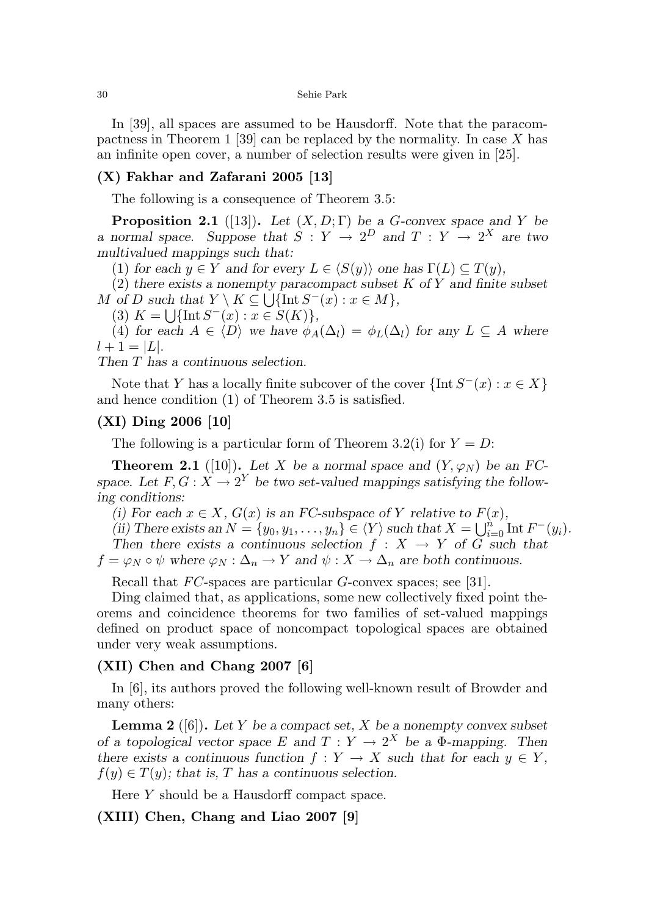In [39], all spaces are assumed to be Hausdorff. Note that the paracompactness in Theorem 1 [39] can be replaced by the normality. In case X has an infinite open cover, a number of selection results were given in [25].

# (X) Fakhar and Zafarani 2005 [13]

The following is a consequence of Theorem 3.5:

**Proposition 2.1** ([13]). Let  $(X, D; \Gamma)$  be a G-convex space and Y be a normal space. Suppose that  $S: Y \to 2^D$  and  $T: Y \to 2^X$  are two multivalued mappings such that:

(1) for each  $y \in Y$  and for every  $L \in \langle S(y) \rangle$  one has  $\Gamma(L) \subseteq T(y)$ ,

 $(2)$  there exists a nonempty paracompact subset K of Y and finite subset M of D such that  $Y \setminus K \subseteq \bigcup \{\text{Int } S^-(x) : x \in M\},\$ 

(3)  $K = \bigcup \{ \text{Int } S^-(x) : x \in S(K) \},\$ 

(4) for each  $A \in \langle D \rangle$  we have  $\phi_A(\Delta_l) = \phi_L(\Delta_l)$  for any  $L \subseteq A$  where  $l + 1 = |L|$ .

Then T has a continuous selection.

Note that Y has a locally finite subcover of the cover  $\{\text{Int } S^-(x) : x \in X\}$ and hence condition (1) of Theorem 3.5 is satisfied.

## (XI) Ding 2006 [10]

The following is a particular form of Theorem 3.2(i) for  $Y = D$ :

**Theorem 2.1** ([10]). Let X be a normal space and  $(Y, \varphi_N)$  be an FCspace. Let  $F, G: X \to 2^Y$  be two set-valued mappings satisfying the following conditions:

(i) For each  $x \in X$ ,  $G(x)$  is an FC-subspace of Y relative to  $F(x)$ ,

(ii) There exists an  $N = \{y_0, y_1, \ldots, y_n\} \in \langle Y \rangle$  such that  $X = \bigcup_{i=0}^n \text{Int } F^-(y_i)$ . Then there exists a continuous selection  $f : X \to Y$  of G such that  $f = \varphi_N \circ \psi$  where  $\varphi_N : \Delta_n \to Y$  and  $\psi : X \to \Delta_n$  are both continuous.

Recall that  $FC$ -spaces are particular  $G$ -convex spaces; see [31].

Ding claimed that, as applications, some new collectively fixed point theorems and coincidence theorems for two families of set-valued mappings defined on product space of noncompact topological spaces are obtained under very weak assumptions.

## (XII) Chen and Chang 2007 [6]

In [6], its authors proved the following well-known result of Browder and many others:

**Lemma 2** ([6]). Let Y be a compact set, X be a nonempty convex subset of a topological vector space E and  $T: Y \to 2^X$  be a  $\Phi$ -mapping. Then there exists a continuous function  $f: Y \to X$  such that for each  $y \in Y$ ,  $f(y) \in T(y)$ ; that is, T has a continuous selection.

Here Y should be a Hausdorff compact space.

# (XIII) Chen, Chang and Liao 2007 [9]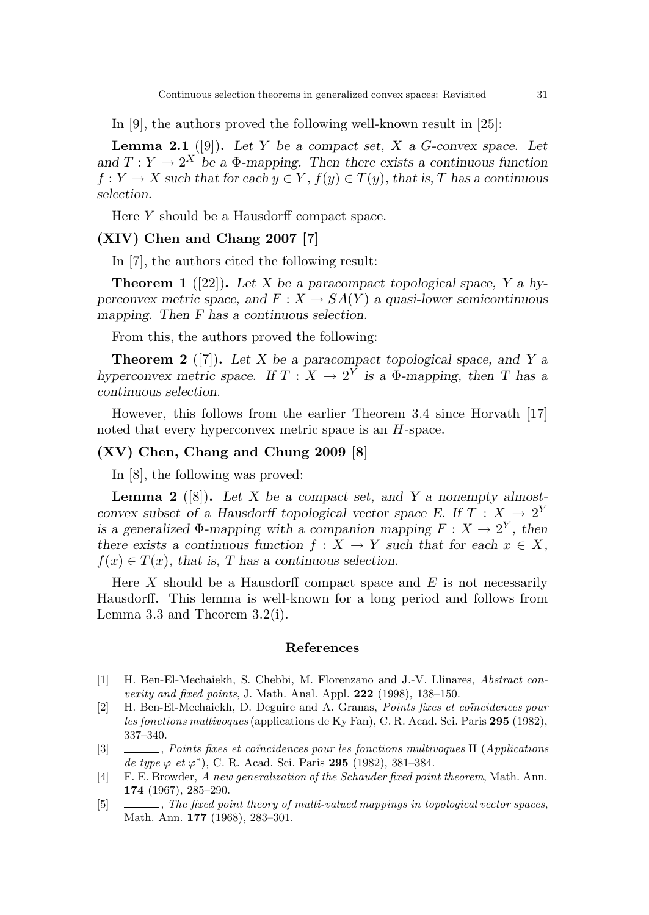In [9], the authors proved the following well-known result in [25]:

**Lemma 2.1** ([9]). Let Y be a compact set, X a G-convex space. Let and  $T: Y \to 2^X$  be a  $\Phi$ -mapping. Then there exists a continuous function  $f: Y \to X$  such that for each  $y \in Y$ ,  $f(y) \in T(y)$ , that is, T has a continuous selection.

Here Y should be a Hausdorff compact space.

# (XIV) Chen and Chang 2007 [7]

In [7], the authors cited the following result:

**Theorem 1** ([22]). Let X be a paracompact topological space, Y a hyperconvex metric space, and  $F: X \to SA(Y)$  a quasi-lower semicontinuous mapping. Then F has a continuous selection.

From this, the authors proved the following:

**Theorem 2** ([7]). Let X be a paracompact topological space, and Y a hyperconvex metric space. If  $T : X \to 2^Y$  is a  $\Phi$ -mapping, then T has a continuous selection.

However, this follows from the earlier Theorem 3.4 since Horvath [17] noted that every hyperconvex metric space is an  $H$ -space.

### (XV) Chen, Chang and Chung 2009 [8]

In [8], the following was proved:

**Lemma 2** ([8]). Let X be a compact set, and Y a nonempty almostconvex subset of a Hausdorff topological vector space E. If  $T : X \to 2^Y$ is a generalized  $\Phi$ -mapping with a companion mapping  $F: X \to 2^Y$ , then there exists a continuous function  $f : X \to Y$  such that for each  $x \in X$ ,  $f(x) \in T(x)$ , that is, T has a continuous selection.

Here X should be a Hausdorff compact space and  $E$  is not necessarily Hausdorff. This lemma is well-known for a long period and follows from Lemma 3.3 and Theorem 3.2(i).

#### References

- [1] H. Ben-El-Mechaiekh, S. Chebbi, M. Florenzano and J.-V. Llinares, Abstract convexity and fixed points, J. Math. Anal. Appl. 222 (1998), 138–150.
- [2] H. Ben-El-Mechaiekh, D. Deguire and A. Granas, Points fixes et coïncidences pour les fonctions multivoques (applications de Ky Fan), C. R. Acad. Sci. Paris 295 (1982), 337–340.
- [3] , Points fixes et coincidences pour les fonctions multivoques II (Applications) de type  $\varphi$  et  $\varphi^*$ ), C. R. Acad. Sci. Paris 295 (1982), 381-384.
- [4] F. E. Browder, A new generalization of the Schauder fixed point theorem, Math. Ann. 174 (1967), 285–290.
- [5]  $\_\_\_\_\_\_\_\_\_\_\_\_\_\_\_\_\_\_\_\.\_$  The fixed point theory of multi-valued mappings in topological vector spaces, Math. Ann. 177 (1968), 283–301.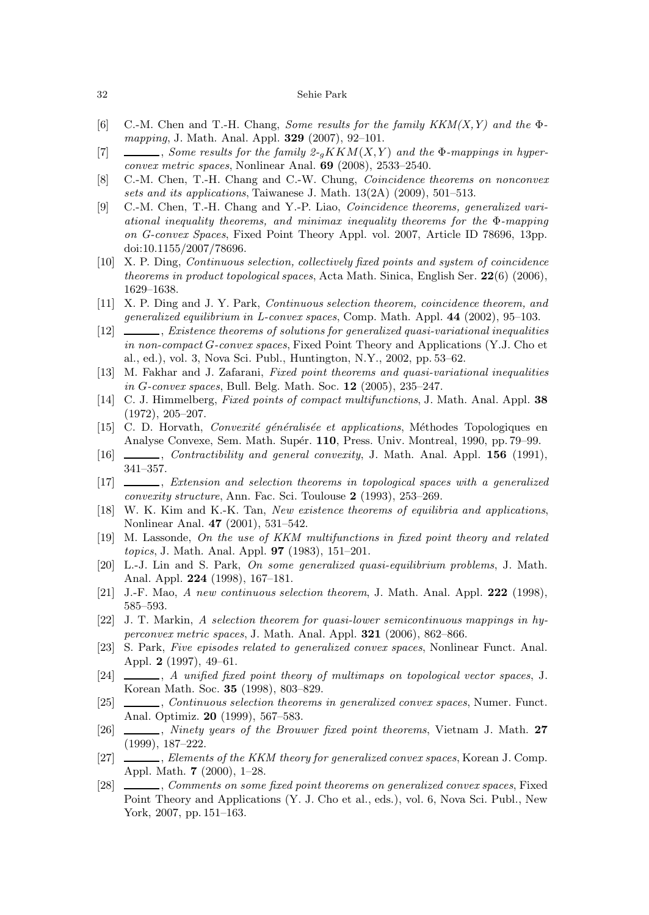#### 32 Sehie Park

- [6] C.-M. Chen and T.-H. Chang, Some results for the family  $KKM(X, Y)$  and the  $\Phi$ mapping, J. Math. Anal. Appl. 329 (2007), 92–101.
- [7]  $\_\_\_\_\_$  Some results for the family  $2-gKKM(X,Y)$  and the  $\Phi$ -mappings in hyperconvex metric spaces, Nonlinear Anal. 69 (2008), 2533–2540.
- [8] C.-M. Chen, T.-H. Chang and C.-W. Chung, Coincidence theorems on nonconvex sets and its applications, Taiwanese J. Math. 13(2A) (2009), 501–513.
- [9] C.-M. Chen, T.-H. Chang and Y.-P. Liao, Coincidence theorems, generalized variational inequality theorems, and minimax inequality theorems for the Φ-mapping on G-convex Spaces, Fixed Point Theory Appl. vol. 2007, Article ID 78696, 13pp. doi:10.1155/2007/78696.
- [10] X. P. Ding, Continuous selection, collectively fixed points and system of coincidence theorems in product topological spaces, Acta Math. Sinica, English Ser.  $22(6)$  (2006), 1629–1638.
- [11] X. P. Ding and J. Y. Park, Continuous selection theorem, coincidence theorem, and generalized equilibrium in L-convex spaces, Comp. Math. Appl. 44 (2002), 95–103.
- [12] , Existence theorems of solutions for generalized quasi-variational inequalities in non-compact G-convex spaces, Fixed Point Theory and Applications (Y.J. Cho et al., ed.), vol. 3, Nova Sci. Publ., Huntington, N.Y., 2002, pp. 53–62.
- [13] M. Fakhar and J. Zafarani, Fixed point theorems and quasi-variational inequalities in G-convex spaces, Bull. Belg. Math. Soc. 12 (2005), 235–247.
- [14] C. J. Himmelberg, *Fixed points of compact multifunctions*, J. Math. Anal. Appl. 38 (1972), 205–207.
- [15] C. D. Horvath, Convexité généralisée et applications, Méthodes Topologiques en Analyse Convexe, Sem. Math. Supér. 110, Press. Univ. Montreal, 1990, pp. 79–99.
- [16] , Contractibility and general convexity, J. Math. Anal. Appl. 156 (1991), 341–357.
- [17] , Extension and selection theorems in topological spaces with a generalized convexity structure, Ann. Fac. Sci. Toulouse 2 (1993), 253–269.
- [18] W. K. Kim and K.-K. Tan, New existence theorems of equilibria and applications, Nonlinear Anal. 47 (2001), 531–542.
- [19] M. Lassonde, On the use of KKM multifunctions in fixed point theory and related topics, J. Math. Anal. Appl. 97 (1983), 151–201.
- [20] L.-J. Lin and S. Park, On some generalized quasi-equilibrium problems, J. Math. Anal. Appl. 224 (1998), 167–181.
- [21] J.-F. Mao, A new continuous selection theorem, J. Math. Anal. Appl. 222 (1998), 585–593.
- [22] J. T. Markin, A selection theorem for quasi-lower semicontinuous mappings in hyperconvex metric spaces, J. Math. Anal. Appl.  $321$  (2006), 862–866.
- [23] S. Park, Five episodes related to generalized convex spaces, Nonlinear Funct. Anal. Appl. 2 (1997), 49–61.
- [24]  $\_\_\_\_\_\$ , A unified fixed point theory of multimaps on topological vector spaces, J. Korean Math. Soc. 35 (1998), 803–829.
- [25] , Continuous selection theorems in generalized convex spaces, Numer. Funct. Anal. Optimiz. 20 (1999), 567–583.
- [26]  $\ldots$ , Ninety years of the Brouwer fixed point theorems, Vietnam J. Math. 27 (1999), 187–222.
- [27] , Elements of the KKM theory for generalized convex spaces, Korean J. Comp. Appl. Math. 7 (2000), 1–28.
- [28] , Comments on some fixed point theorems on generalized convex spaces, Fixed Point Theory and Applications (Y. J. Cho et al., eds.), vol. 6, Nova Sci. Publ., New York, 2007, pp. 151–163.